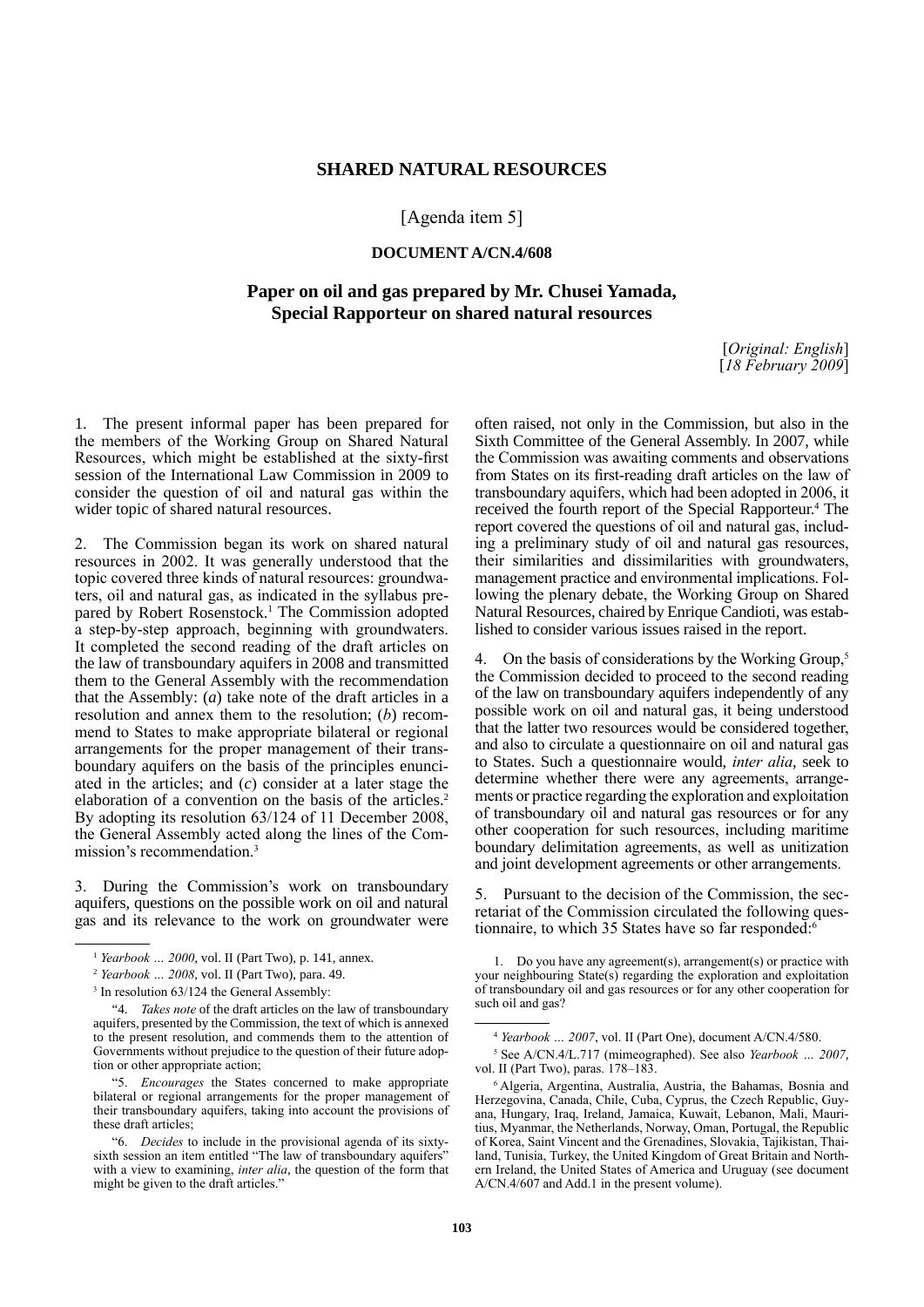## **SHARED NATURAL RESOURCES**

## [Agenda item 5]

## **DOCUMENT A/CN.4/608**

## **Paper on oil and gas prepared by Mr. Chusei Yamada, Special Rapporteur on shared natural resources**

[*Original: English*] [*18 February 2009*]

1. The present informal paper has been prepared for the members of the Working Group on Shared Natural Resources, which might be established at the sixty-first session of the International Law Commission in 2009 to consider the question of oil and natural gas within the wider topic of shared natural resources.

2. The Commission began its work on shared natural resources in 2002. It was generally understood that the topic covered three kinds of natural resources: groundwaters, oil and natural gas, as indicated in the syllabus prepared by Robert Rosenstock.<sup>1</sup> The Commission adopted a step-by-step approach, beginning with groundwaters. It completed the second reading of the draft articles on the law of transboundary aquifers in 2008 and transmitted them to the General Assembly with the recommendation that the Assembly: (*a*) take note of the draft articles in a resolution and annex them to the resolution; (*b*) recommend to States to make appropriate bilateral or regional arrangements for the proper management of their transboundary aquifers on the basis of the principles enunciated in the articles; and (*c*) consider at a later stage the elaboration of a convention on the basis of the articles.<sup>2</sup> By adopting its resolution 63/124 of 11 December 2008, the General Assembly acted along the lines of the Commission's recommendation.3

3. During the Commission's work on transboundary aquifers, questions on the possible work on oil and natural gas and its relevance to the work on groundwater were often raised, not only in the Commission, but also in the Sixth Committee of the General Assembly. In 2007, while the Commission was awaiting comments and observations from States on its first-reading draft articles on the law of transboundary aquifers, which had been adopted in 2006, it received the fourth report of the Special Rapporteur.<sup>4</sup> The report covered the questions of oil and natural gas, including a preliminary study of oil and natural gas resources, their similarities and dissimilarities with groundwaters, management practice and environmental implications. Following the plenary debate, the Working Group on Shared Natural Resources, chaired by Enrique Candioti, was established to consider various issues raised in the report.

On the basis of considerations by the Working Group,<sup>5</sup> the Commission decided to proceed to the second reading of the law on transboundary aquifers independently of any possible work on oil and natural gas, it being understood that the latter two resources would be considered together, and also to circulate a questionnaire on oil and natural gas to States. Such a questionnaire would, *inter alia*, seek to determine whether there were any agreements, arrangements or practice regarding the exploration and exploitation of transboundary oil and natural gas resources or for any other cooperation for such resources, including maritime boundary delimitation agreements, as well as unitization and joint development agreements or other arrangements.

5. Pursuant to the decision of the Commission, the secretariat of the Commission circulated the following questionnaire, to which 35 States have so far responded: $6$ 

<sup>1</sup> *Yearbook … 2000*, vol. II (Part Two), p. 141, annex.

<sup>2</sup> *Yearbook … 2008*, vol. II (Part Two), para. 49.

<sup>&</sup>lt;sup>3</sup> In resolution 63/124 the General Assembly:

<sup>&</sup>quot;4. *Takes note* of the draft articles on the law of transboundary aquifers, presented by the Commission, the text of which is annexed to the present resolution, and commends them to the attention of Governments without prejudice to the question of their future adoption or other appropriate action;

<sup>&</sup>quot;5. *Encourages* the States concerned to make appropriate bilateral or regional arrangements for the proper management of their transboundary aquifers, taking into account the provisions of these draft articles;

<sup>&</sup>quot;6. *Decides* to include in the provisional agenda of its sixtysixth session an item entitled "The law of transboundary aquifers" with a view to examining, *inter alia*, the question of the form that might be given to the draft articles.

<sup>1.</sup> Do you have any agreement(s), arrangement(s) or practice with your neighbouring State(s) regarding the exploration and exploitation of transboundary oil and gas resources or for any other cooperation for such oil and gas?

<sup>4</sup> *Yearbook … 2007*, vol. II (Part One), document A/CN.4/580.

<sup>5</sup> See A/CN.4/L.717 (mimeographed). See also *Yearbook … 2007*, vol. II (Part Two), paras. 178–183.

<sup>6</sup> Algeria, Argentina, Australia, Austria, the Bahamas, Bosnia and Herzegovina, Canada, Chile, Cuba, Cyprus, the Czech Republic, Guyana, Hungary, Iraq, Ireland, Jamaica, Kuwait, Lebanon, Mali, Mauritius, Myanmar, the Netherlands, Norway, Oman, Portugal, the Republic of Korea, Saint Vincent and the Grenadines, Slovakia, Tajikistan, Thailand, Tunisia, Turkey, the United Kingdom of Great Britain and Northern Ireland, the United States of America and Uruguay (see document A/CN.4/607 and Add.1 in the present volume).